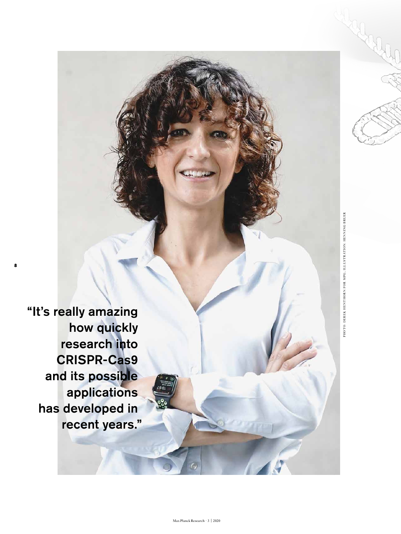"It's really amazing how quickly research into CRISPR-Cas9 and its possible applications has developed in recent years."

**8**

PHOTO: DEREK HENTHORN FOR MPG; ILLUSTRATION: HENNING BRUER PHOTO: DEREK HENTHORN FOR MPG; ILLUSTRATION: HENNING BRUER